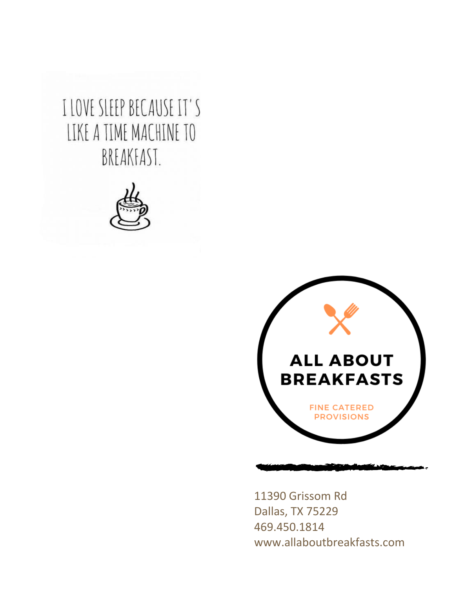I LOVE SLEEP BECAUSE IT'S LIKE A TIME MACHINE TO BREAKFAST.





11390 Grissom Rd Dallas, TX 75229 469.450.1814 www.allaboutbreakfasts.com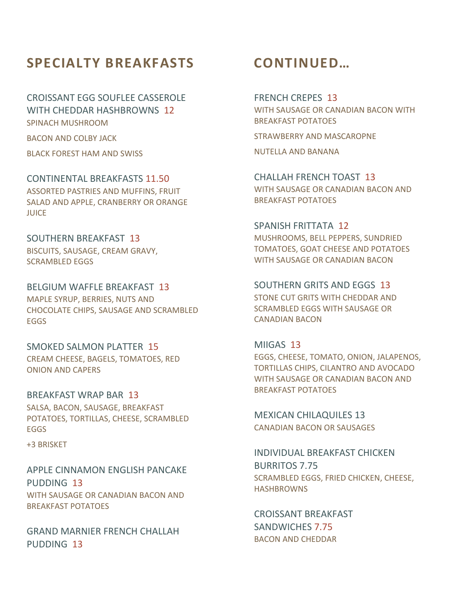### **SPECIALTY BREAKFASTS**

CROISSANT EGG SOUFLEE CASSEROLE WITH CHEDDAR HASHBROWNS 12 SPINACH MUSHROOM

BACON AND COLBY JACK

BLACK FOREST HAM AND SWISS

CONTINENTAL BREAKFASTS 11.50 ASSORTED PASTRIES AND MUFFINS, FRUIT SALAD AND APPLE, CRANBERRY OR ORANGE **JUICE** 

SOUTHERN BREAKFAST 13 BISCUITS, SAUSAGE, CREAM GRAVY, SCRAMBLED EGGS

BELGIUM WAFFLE BREAKFAST 13 MAPLE SYRUP, BERRIES, NUTS AND CHOCOLATE CHIPS, SAUSAGE AND SCRAMBLED EGGS

SMOKED SALMON PLATTER 15 CREAM CHEESE, BAGELS, TOMATOES, RED ONION AND CAPERS

BREAKFAST WRAP BAR 13 SALSA, BACON, SAUSAGE, BREAKFAST POTATOES, TORTILLAS, CHEESE, SCRAMBLED EGGS

+3 BRISKET

APPLE CINNAMON ENGLISH PANCAKE PUDDING 13 WITH SAUSAGE OR CANADIAN BACON AND BREAKFAST POTATOES

GRAND MARNIER FRENCH CHALLAH PUDDING 13

### **CONTINUED…**

FRENCH CREPES 13 WITH SAUSAGE OR CANADIAN BACON WITH BREAKFAST POTATOES

STRAWBERRY AND MASCAROPNE

NUTELLA AND BANANA

CHALLAH FRENCH TOAST 13 WITH SAUSAGE OR CANADIAN BACON AND BREAKFAST POTATOES

SPANISH FRITTATA 12 MUSHROOMS, BELL PEPPERS, SUNDRIED TOMATOES, GOAT CHEESE AND POTATOES WITH SAUSAGE OR CANADIAN BACON

SOUTHERN GRITS AND EGGS 13 STONE CUT GRITS WITH CHEDDAR AND SCRAMBLED EGGS WITH SAUSAGE OR CANADIAN BACON

MIIGAS 13 EGGS, CHEESE, TOMATO, ONION, JALAPENOS, TORTILLAS CHIPS, CILANTRO AND AVOCADO WITH SAUSAGE OR CANADIAN BACON AND BREAKFAST POTATOES

MEXICAN CHILAQUILES 13 CANADIAN BACON OR SAUSAGES

INDIVIDUAL BREAKFAST CHICKEN BURRITOS 7.75 SCRAMBLED EGGS, FRIED CHICKEN, CHEESE, HASHBROWNS

CROISSANT BREAKFAST SANDWICHES 7.75 BACON AND CHEDDAR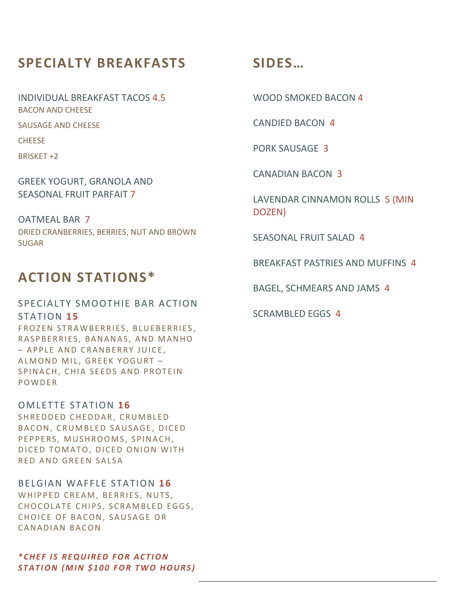# **SPECIALTY BREAKFASTS**

INDIVIDUAL BREAKFAST TACOS 4.5 BACON AND CHEESE SAUSAGE AND CHEESE CHEESE

BRISKET +2

GREEK YOGURT, GRANOLA AND SEASONAL FRUIT PARFAIT 7

OATMEAL BAR 7 DRIED CRANBERRIES, BERRIES, NUT AND BROWN SUGAR

## **ACTION STATIONS\***

### SPECIALTY SMOOTHIE BAR ACTION STATION **15**

FROZEN STRAWBERRIES, BLUEBERRIES, RASPBERRIES, BANANAS, AND MANHO – APPLE AND CRANBERRY JUICE, ALMOND MIL, GREEK YOGURT -SPINACH, CHIA SEEDS AND PROTEIN P O W D E R

OMLETTE STATION 16 SHREDDED CHEDDAR, CRUMBLED BACON, CRUMBLED SAUSAGE, DICED PEPPERS, MUSHROOMS, SPINACH, DICED TOMATO, DICED ONION WITH RED AND GREEN SALSA

**BELGIAN WAFFLE STATION 16** WHIPPED CREAM, BERRIES, NUTS, CHOCOLATE CHIPS, SCRAMBLED EGGS, CHOICE OF BACON, SAUSAGE OR CANADIAN BACON

#### *\* C H E F I S R E Q U I R E D F O R A C T I O N STATION (MIN \$100 FOR TWO HOURS)*

## **SIDES…**

WOOD SMOKED BACON 4

CANDIED BACON 4

PORK SAUSAGE 3

CANADIAN BACON 3

LAVENDAR CINNAMON ROLLS 5 (MIN DOZEN)

SEASONAL FRUIT SALAD 4

BREAKFAST PASTRIES AND MUFFINS 4

BAGEL, SCHMEARS AND JAMS 4

SCRAMBLED EGGS 4